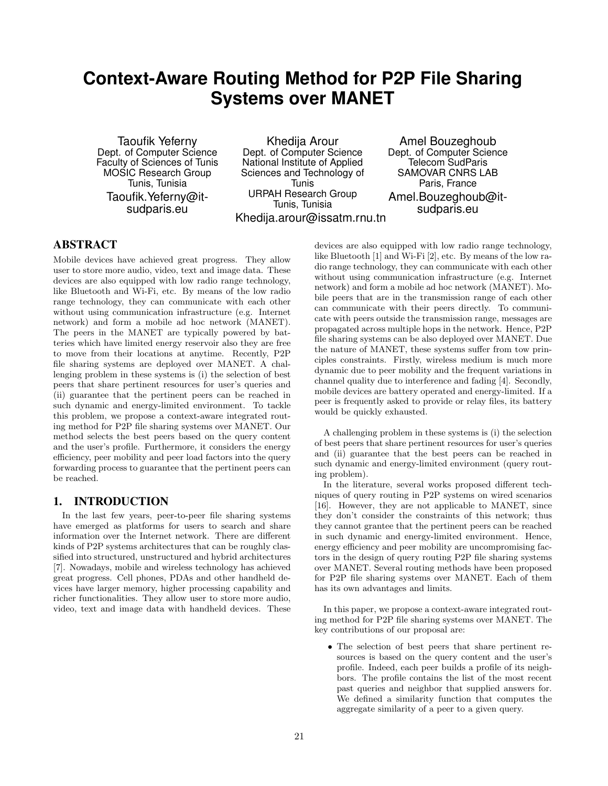# **Context-Aware Routing Method for P2P File Sharing Systems over MANET**

Taoufik Yeferny Dept. of Computer Science Faculty of Sciences of Tunis MOSIC Research Group Tunis, Tunisia Taoufik.Yeferny@itsudparis.eu

Khedija Arour Dept. of Computer Science National Institute of Applied Sciences and Technology of Tunis URPAH Research Group Tunis, Tunisia Khedija.arour@issatm.rnu.tn

Amel Bouzeghoub Dept. of Computer Science Telecom SudParis SAMOVAR CNRS LAB Paris, France Amel.Bouzeghoub@itsudparis.eu

# ABSTRACT

Mobile devices have achieved great progress. They allow user to store more audio, video, text and image data. These devices are also equipped with low radio range technology, like Bluetooth and Wi-Fi, etc. By means of the low radio range technology, they can communicate with each other without using communication infrastructure (e.g. Internet network) and form a mobile ad hoc network (MANET). The peers in the MANET are typically powered by batteries which have limited energy reservoir also they are free to move from their locations at anytime. Recently, P2P file sharing systems are deployed over MANET. A challenging problem in these systems is (i) the selection of best peers that share pertinent resources for user's queries and (ii) guarantee that the pertinent peers can be reached in such dynamic and energy-limited environment. To tackle this problem, we propose a context-aware integrated routing method for P2P file sharing systems over MANET. Our method selects the best peers based on the query content and the user's profile. Furthermore, it considers the energy efficiency, peer mobility and peer load factors into the query forwarding process to guarantee that the pertinent peers can be reached.

# 1. INTRODUCTION

In the last few years, peer-to-peer file sharing systems have emerged as platforms for users to search and share information over the Internet network. There are different kinds of P2P systems architectures that can be roughly classified into structured, unstructured and hybrid architectures [7]. Nowadays, mobile and wireless technology has achieved great progress. Cell phones, PDAs and other handheld devices have larger memory, higher processing capability and richer functionalities. They allow user to store more audio, video, text and image data with handheld devices. These

devices are also equipped with low radio range technology, like Bluetooth [1] and Wi-Fi [2], etc. By means of the low radio range technology, they can communicate with each other without using communication infrastructure (e.g. Internet network) and form a mobile ad hoc network (MANET). Mobile peers that are in the transmission range of each other can communicate with their peers directly. To communicate with peers outside the transmission range, messages are propagated across multiple hops in the network. Hence, P2P file sharing systems can be also deployed over MANET. Due the nature of MANET, these systems suffer from tow principles constraints. Firstly, wireless medium is much more dynamic due to peer mobility and the frequent variations in channel quality due to interference and fading [4]. Secondly, mobile devices are battery operated and energy-limited. If a peer is frequently asked to provide or relay files, its battery would be quickly exhausted.

A challenging problem in these systems is (i) the selection of best peers that share pertinent resources for user's queries and (ii) guarantee that the best peers can be reached in such dynamic and energy-limited environment (query routing problem).

In the literature, several works proposed different techniques of query routing in P2P systems on wired scenarios [16]. However, they are not applicable to MANET, since they don't consider the constraints of this network; thus they cannot grantee that the pertinent peers can be reached in such dynamic and energy-limited environment. Hence, energy efficiency and peer mobility are uncompromising factors in the design of query routing P2P file sharing systems over MANET. Several routing methods have been proposed for P2P file sharing systems over MANET. Each of them has its own advantages and limits.

In this paper, we propose a context-aware integrated routing method for P2P file sharing systems over MANET. The key contributions of our proposal are:

• The selection of best peers that share pertinent resources is based on the query content and the user's profile. Indeed, each peer builds a profile of its neighbors. The profile contains the list of the most recent past queries and neighbor that supplied answers for. We defined a similarity function that computes the aggregate similarity of a peer to a given query.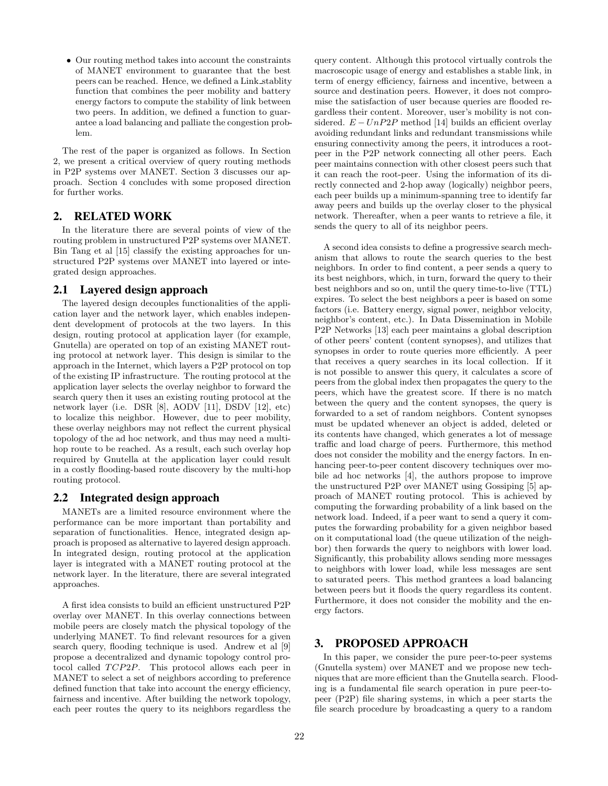• Our routing method takes into account the constraints of MANET environment to guarantee that the best peers can be reached. Hence, we defined a Link stablity function that combines the peer mobility and battery energy factors to compute the stability of link between two peers. In addition, we defined a function to guarantee a load balancing and palliate the congestion problem.

The rest of the paper is organized as follows. In Section 2, we present a critical overview of query routing methods in P2P systems over MANET. Section 3 discusses our approach. Section 4 concludes with some proposed direction for further works.

# 2. RELATED WORK

In the literature there are several points of view of the routing problem in unstructured P2P systems over MANET. Bin Tang et al [15] classify the existing approaches for unstructured P2P systems over MANET into layered or integrated design approaches.

# 2.1 Layered design approach

The layered design decouples functionalities of the application layer and the network layer, which enables independent development of protocols at the two layers. In this design, routing protocol at application layer (for example, Gnutella) are operated on top of an existing MANET routing protocol at network layer. This design is similar to the approach in the Internet, which layers a P2P protocol on top of the existing IP infrastructure. The routing protocol at the application layer selects the overlay neighbor to forward the search query then it uses an existing routing protocol at the network layer (i.e. DSR [8], AODV [11], DSDV [12], etc) to localize this neighbor. However, due to peer mobility, these overlay neighbors may not reflect the current physical topology of the ad hoc network, and thus may need a multihop route to be reached. As a result, each such overlay hop required by Gnutella at the application layer could result in a costly flooding-based route discovery by the multi-hop routing protocol.

# 2.2 Integrated design approach

MANETs are a limited resource environment where the performance can be more important than portability and separation of functionalities. Hence, integrated design approach is proposed as alternative to layered design approach. In integrated design, routing protocol at the application layer is integrated with a MANET routing protocol at the network layer. In the literature, there are several integrated approaches.

A first idea consists to build an efficient unstructured P2P overlay over MANET. In this overlay connections between mobile peers are closely match the physical topology of the underlying MANET. To find relevant resources for a given search query, flooding technique is used. Andrew et al [9] propose a decentralized and dynamic topology control protocol called TCP2P. This protocol allows each peer in MANET to select a set of neighbors according to preference defined function that take into account the energy efficiency, fairness and incentive. After building the network topology, each peer routes the query to its neighbors regardless the query content. Although this protocol virtually controls the macroscopic usage of energy and establishes a stable link, in term of energy efficiency, fairness and incentive, between a source and destination peers. However, it does not compromise the satisfaction of user because queries are flooded regardless their content. Moreover, user's mobility is not considered.  $E - UnP2P$  method [14] builds an efficient overlay avoiding redundant links and redundant transmissions while ensuring connectivity among the peers, it introduces a rootpeer in the P2P network connecting all other peers. Each peer maintains connection with other closest peers such that it can reach the root-peer. Using the information of its directly connected and 2-hop away (logically) neighbor peers, each peer builds up a minimum-spanning tree to identify far away peers and builds up the overlay closer to the physical network. Thereafter, when a peer wants to retrieve a file, it sends the query to all of its neighbor peers.

A second idea consists to define a progressive search mechanism that allows to route the search queries to the best neighbors. In order to find content, a peer sends a query to its best neighbors, which, in turn, forward the query to their best neighbors and so on, until the query time-to-live (TTL) expires. To select the best neighbors a peer is based on some factors (i.e. Battery energy, signal power, neighbor velocity, neighbor's content, etc.). In Data Dissemination in Mobile P2P Networks [13] each peer maintains a global description of other peers' content (content synopses), and utilizes that synopses in order to route queries more efficiently. A peer that receives a query searches in its local collection. If it is not possible to answer this query, it calculates a score of peers from the global index then propagates the query to the peers, which have the greatest score. If there is no match between the query and the content synopses, the query is forwarded to a set of random neighbors. Content synopses must be updated whenever an object is added, deleted or its contents have changed, which generates a lot of message traffic and load charge of peers. Furthermore, this method does not consider the mobility and the energy factors. In enhancing peer-to-peer content discovery techniques over mobile ad hoc networks [4], the authors propose to improve the unstructured P2P over MANET using Gossiping [5] approach of MANET routing protocol. This is achieved by computing the forwarding probability of a link based on the network load. Indeed, if a peer want to send a query it computes the forwarding probability for a given neighbor based on it computational load (the queue utilization of the neighbor) then forwards the query to neighbors with lower load. Significantly, this probability allows sending more messages to neighbors with lower load, while less messages are sent to saturated peers. This method grantees a load balancing between peers but it floods the query regardless its content. Furthermore, it does not consider the mobility and the energy factors.

# 3. PROPOSED APPROACH

In this paper, we consider the pure peer-to-peer systems (Gnutella system) over MANET and we propose new techniques that are more efficient than the Gnutella search. Flooding is a fundamental file search operation in pure peer-topeer (P2P) file sharing systems, in which a peer starts the file search procedure by broadcasting a query to a random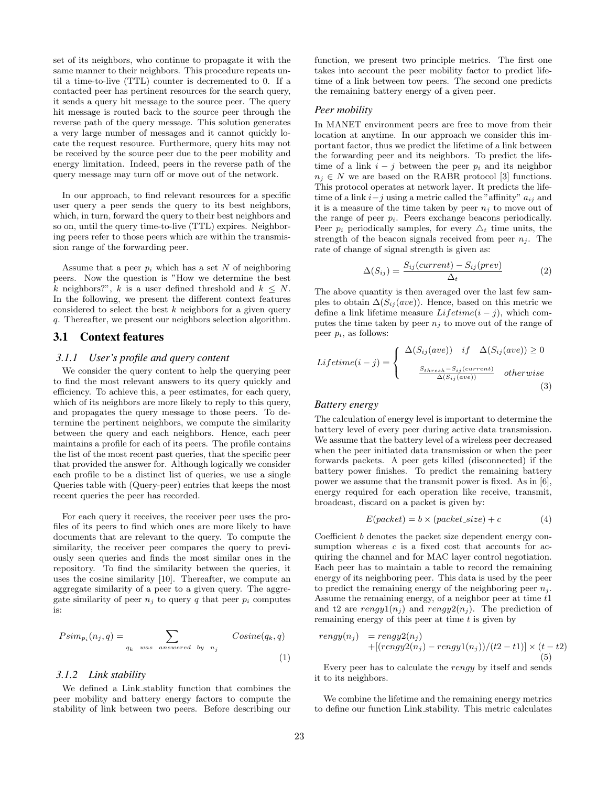set of its neighbors, who continue to propagate it with the same manner to their neighbors. This procedure repeats until a time-to-live (TTL) counter is decremented to 0. If a contacted peer has pertinent resources for the search query, it sends a query hit message to the source peer. The query hit message is routed back to the source peer through the reverse path of the query message. This solution generates a very large number of messages and it cannot quickly locate the request resource. Furthermore, query hits may not be received by the source peer due to the peer mobility and energy limitation. Indeed, peers in the reverse path of the query message may turn off or move out of the network.

In our approach, to find relevant resources for a specific user query a peer sends the query to its best neighbors, which, in turn, forward the query to their best neighbors and so on, until the query time-to-live (TTL) expires. Neighboring peers refer to those peers which are within the transmission range of the forwarding peer.

Assume that a peer  $p_i$  which has a set N of neighboring peers. Now the question is "How we determine the best k neighbors?", k is a user defined threshold and  $k \leq N$ . In the following, we present the different context features considered to select the best  $k$  neighbors for a given query q. Thereafter, we present our neighbors selection algorithm.

# 3.1 Context features

#### *3.1.1 User's profile and query content*

We consider the query content to help the querying peer to find the most relevant answers to its query quickly and efficiency. To achieve this, a peer estimates, for each query, which of its neighbors are more likely to reply to this query, and propagates the query message to those peers. To determine the pertinent neighbors, we compute the similarity between the query and each neighbors. Hence, each peer maintains a profile for each of its peers. The profile contains the list of the most recent past queries, that the specific peer that provided the answer for. Although logically we consider each profile to be a distinct list of queries, we use a single Queries table with (Query-peer) entries that keeps the most recent queries the peer has recorded.

For each query it receives, the receiver peer uses the profiles of its peers to find which ones are more likely to have documents that are relevant to the query. To compute the similarity, the receiver peer compares the query to previously seen queries and finds the most similar ones in the repository. To find the similarity between the queries, it uses the cosine similarity [10]. Thereafter, we compute an aggregate similarity of a peer to a given query. The aggregate similarity of peer  $n_i$  to query q that peer  $p_i$  computes is:

$$
Psim_{p_i}(n_j, q) = \sum_{q_k \text{ was answered by } n_j} Cosine(q_k, q)
$$
\n(1)

#### *3.1.2 Link stability*

We defined a Link stablity function that combines the peer mobility and battery energy factors to compute the stability of link between two peers. Before describing our function, we present two principle metrics. The first one takes into account the peer mobility factor to predict lifetime of a link between tow peers. The second one predicts the remaining battery energy of a given peer.

#### *Peer mobility*

In MANET environment peers are free to move from their location at anytime. In our approach we consider this important factor, thus we predict the lifetime of a link between the forwarding peer and its neighbors. To predict the lifetime of a link  $i - j$  between the peer  $p_i$  and its neighbor  $n_i \in N$  we are based on the RABR protocol [3] functions. This protocol operates at network layer. It predicts the lifetime of a link  $i-j$  using a metric called the "affinity"  $a_{ij}$  and it is a measure of the time taken by peer  $n_i$  to move out of the range of peer  $p_i$ . Peers exchange beacons periodically. Peer  $p_i$  periodically samples, for every  $\Delta_t$  time units, the strength of the beacon signals received from peer  $n_i$ . The rate of change of signal strength is given as:

$$
\Delta(S_{ij}) = \frac{S_{ij}(current) - S_{ij}(prev)}{\Delta_t}
$$
 (2)

The above quantity is then averaged over the last few samples to obtain  $\Delta(S_{ij}(ave))$ . Hence, based on this metric we define a link lifetime measure  $Lifetime(i - j)$ , which computes the time taken by peer  $n_i$  to move out of the range of peer  $p_i$ , as follows:

$$
Lifetime(i-j) = \begin{cases} \Delta(S_{ij}(ave)) & if \quad \Delta(S_{ij}(ave)) \ge 0\\ \frac{S_{thresh} - S_{ij}(current)}{\Delta(S_{ij}(ave))} & otherwise \end{cases}
$$
(3)

### *Battery energy*

The calculation of energy level is important to determine the battery level of every peer during active data transmission. We assume that the battery level of a wireless peer decreased when the peer initiated data transmission or when the peer forwards packets. A peer gets killed (disconnected) if the battery power finishes. To predict the remaining battery power we assume that the transmit power is fixed. As in [6], energy required for each operation like receive, transmit, broadcast, discard on a packet is given by:

$$
E(packet) = b \times (packet\_size) + c \tag{4}
$$

Coefficient b denotes the packet size dependent energy consumption whereas  $c$  is a fixed cost that accounts for acquiring the channel and for MAC layer control negotiation. Each peer has to maintain a table to record the remaining energy of its neighboring peer. This data is used by the peer to predict the remaining energy of the neighboring peer  $n_i$ . Assume the remaining energy, of a neighbor peer at time t1 and t2 are rengy $1(n_i)$  and rengy $2(n_i)$ . The prediction of remaining energy of this peer at time  $t$  is given by

$$
rengy(nj) = rengy2(nj)
$$
  
+
$$
[(rengy2(nj) - rengy1(nj))/(t2 - t1)] \times (t - t2)
$$
  
(5)

Every peer has to calculate the rengy by itself and sends it to its neighbors.

We combine the lifetime and the remaining energy metrics to define our function Link stability. This metric calculates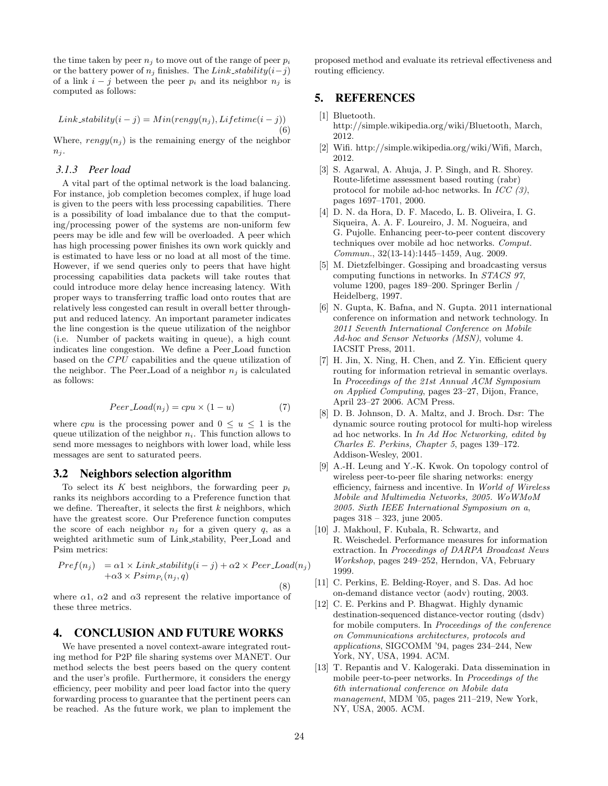the time taken by peer  $n_j$  to move out of the range of peer  $p_i$ or the battery power of  $n_j$  finishes. The Link\_stability $(i-j)$ of a link  $i - j$  between the peer  $p_i$  and its neighbor  $n_j$  is computed as follows:

$$
Link\_stability(i-j) = Min(rengy(n_j), Lifetime(i-j))
$$
\n(6)

Where,  $rengy(n<sub>i</sub>)$  is the remaining energy of the neighbor  $n_i$ .

#### *3.1.3 Peer load*

A vital part of the optimal network is the load balancing. For instance, job completion becomes complex, if huge load is given to the peers with less processing capabilities. There is a possibility of load imbalance due to that the computing/processing power of the systems are non-uniform few peers may be idle and few will be overloaded. A peer which has high processing power finishes its own work quickly and is estimated to have less or no load at all most of the time. However, if we send queries only to peers that have hight processing capabilities data packets will take routes that could introduce more delay hence increasing latency. With proper ways to transferring traffic load onto routes that are relatively less congested can result in overall better throughput and reduced latency. An important parameter indicates the line congestion is the queue utilization of the neighbor (i.e. Number of packets waiting in queue), a high count indicates line congestion. We define a Peer Load function based on the  $CPU$  capabilities and the queue utilization of the neighbor. The Peer-Load of a neighbor  $n_i$  is calculated as follows:

$$
Peer\_Load(n_j) = cpu \times (1 - u)
$$
 (7)

where *cpu* is the processing power and  $0 \le u \le 1$  is the queue utilization of the neighbor  $n_i$ . This function allows to send more messages to neighbors with lower load, while less messages are sent to saturated peers.

# 3.2 Neighbors selection algorithm

To select its K best neighbors, the forwarding peer  $p_i$ ranks its neighbors according to a Preference function that we define. Thereafter, it selects the first  $k$  neighbors, which have the greatest score. Our Preference function computes the score of each neighbor  $n_j$  for a given query  $q$ , as a weighted arithmetic sum of Link stability, Peer Load and Psim metrics:

$$
Pref(n_j) = \alpha 1 \times Link\_stability(i - j) + \alpha 2 \times Peer\_Load(n_j) + \alpha 3 \times Psim_{P_i}(n_j, q)
$$

where  $\alpha$ 1,  $\alpha$ 2 and  $\alpha$ 3 represent the relative importance of these three metrics.

# 4. CONCLUSION AND FUTURE WORKS

We have presented a novel context-aware integrated routing method for P2P file sharing systems over MANET. Our method selects the best peers based on the query content and the user's profile. Furthermore, it considers the energy efficiency, peer mobility and peer load factor into the query forwarding process to guarantee that the pertinent peers can be reached. As the future work, we plan to implement the proposed method and evaluate its retrieval effectiveness and routing efficiency.

# 5. REFERENCES

- [1] Bluetooth. http://simple.wikipedia.org/wiki/Bluetooth, March, 2012.
- [2] Wifi. http://simple.wikipedia.org/wiki/Wifi, March, 2012.
- [3] S. Agarwal, A. Ahuja, J. P. Singh, and R. Shorey. Route-lifetime assessment based routing (rabr) protocol for mobile ad-hoc networks. In  $ICC(3)$ , pages 1697–1701, 2000.
- [4] D. N. da Hora, D. F. Macedo, L. B. Oliveira, I. G. Siqueira, A. A. F. Loureiro, J. M. Nogueira, and G. Pujolle. Enhancing peer-to-peer content discovery techniques over mobile ad hoc networks. Comput. Commun., 32(13-14):1445–1459, Aug. 2009.
- [5] M. Dietzfelbinger. Gossiping and broadcasting versus computing functions in networks. In STACS 97, volume 1200, pages 189–200. Springer Berlin / Heidelberg, 1997.
- [6] N. Gupta, K. Bafna, and N. Gupta. 2011 international conference on information and network technology. In 2011 Seventh International Conference on Mobile Ad-hoc and Sensor Networks (MSN), volume 4. IACSIT Press, 2011.
- [7] H. Jin, X. Ning, H. Chen, and Z. Yin. Efficient query routing for information retrieval in semantic overlays. In Proceedings of the 21st Annual ACM Symposium on Applied Computing, pages 23–27, Dijon, France, April 23–27 2006. ACM Press.
- [8] D. B. Johnson, D. A. Maltz, and J. Broch. Dsr: The dynamic source routing protocol for multi-hop wireless ad hoc networks. In In Ad Hoc Networking, edited by Charles E. Perkins, Chapter 5, pages 139–172. Addison-Wesley, 2001.
- [9] A.-H. Leung and Y.-K. Kwok. On topology control of wireless peer-to-peer file sharing networks: energy efficiency, fairness and incentive. In World of Wireless Mobile and Multimedia Networks, 2005. WoWMoM 2005. Sixth IEEE International Symposium on a, pages 318 – 323, june 2005.
- [10] J. Makhoul, F. Kubala, R. Schwartz, and R. Weischedel. Performance measures for information extraction. In Proceedings of DARPA Broadcast News Workshop, pages 249–252, Herndon, VA, February 1999.
- [11] C. Perkins, E. Belding-Royer, and S. Das. Ad hoc on-demand distance vector (aodv) routing, 2003.
- [12] C. E. Perkins and P. Bhagwat. Highly dynamic destination-sequenced distance-vector routing (dsdv) for mobile computers. In Proceedings of the conference on Communications architectures, protocols and applications, SIGCOMM '94, pages 234–244, New York, NY, USA, 1994. ACM.
- [13] T. Repantis and V. Kalogeraki. Data dissemination in mobile peer-to-peer networks. In Proceedings of the 6th international conference on Mobile data management, MDM '05, pages 211–219, New York, NY, USA, 2005. ACM.

(8)